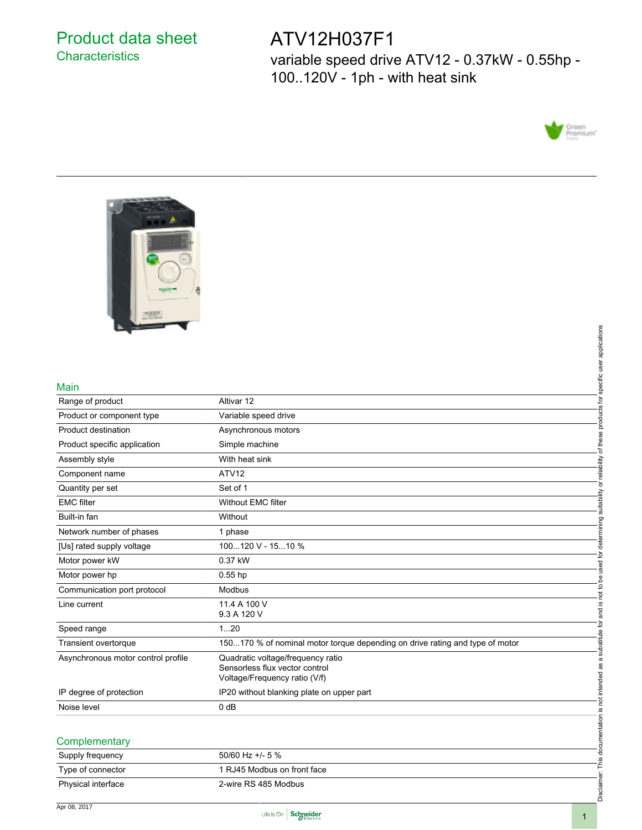## Product data sheet **Characteristics**

## ATV12H037F1

variable speed drive ATV12 - 0.37kW - 0.55hp - 100..120V - 1ph - with heat sink





#### Main

| Main                               |                                                                              | products for specific user applications                            |
|------------------------------------|------------------------------------------------------------------------------|--------------------------------------------------------------------|
| Range of product                   | Altivar 12                                                                   |                                                                    |
| Product or component type          | Variable speed drive                                                         |                                                                    |
| Product destination                | Asynchronous motors                                                          |                                                                    |
| Product specific application       | Simple machine                                                               | of these                                                           |
| Assembly style                     | With heat sink                                                               |                                                                    |
| Component name                     | ATV12                                                                        | or reliability                                                     |
| Quantity per set                   | Set of 1                                                                     |                                                                    |
| <b>EMC</b> filter                  | <b>Without EMC filter</b>                                                    | determining suitability                                            |
| Built-in fan                       | Without                                                                      |                                                                    |
| Network number of phases           | 1 phase                                                                      |                                                                    |
| [Us] rated supply voltage          | 100120 V - 1510 %                                                            |                                                                    |
| Motor power kW                     | 0.37 kW                                                                      |                                                                    |
| Motor power hp                     | $0.55$ hp                                                                    |                                                                    |
| Communication port protocol        | Modbus                                                                       | and is not to be used for                                          |
| Line current                       | 11.4 A 100 V                                                                 |                                                                    |
|                                    | 9.3 A 120 V                                                                  |                                                                    |
| Speed range                        | 120                                                                          |                                                                    |
| Transient overtorque               | 150170 % of nominal motor torque depending on drive rating and type of motor |                                                                    |
| Asynchronous motor control profile | Quadratic voltage/frequency ratio                                            |                                                                    |
|                                    | Sensorless flux vector control<br>Voltage/Frequency ratio (V/f)              |                                                                    |
| IP degree of protection            | IP20 without blanking plate on upper part                                    |                                                                    |
| Noise level                        | 0 <sub>d</sub> B                                                             |                                                                    |
|                                    |                                                                              |                                                                    |
|                                    |                                                                              |                                                                    |
| Complementary                      |                                                                              |                                                                    |
| Supply frequency                   | 50/60 Hz +/- 5 %                                                             |                                                                    |
| Type of connector                  | 1 RJ45 Modbus on front face                                                  |                                                                    |
| Physical interface                 | 2-wire RS 485 Modbus                                                         | Disclaimer: This documentation is not intended as a substitute for |

## Supply frequency 50/60 Hz +/- 5 % Type of connector 1 RJ45 Modbus on front face Physical interface 2-wire RS 485 Modbus

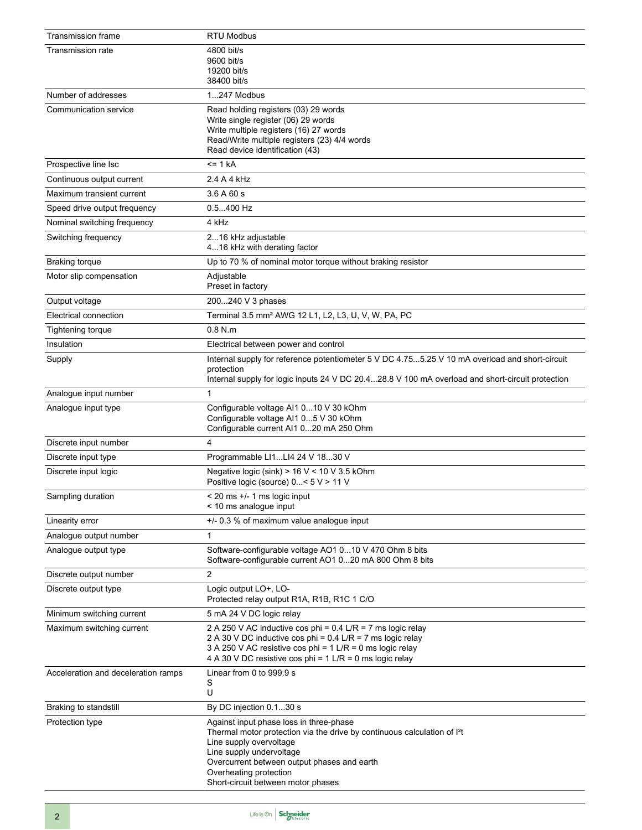| <b>Transmission frame</b>           | <b>RTU Modbus</b>                                                                                                                                                                                                                                                                                     |
|-------------------------------------|-------------------------------------------------------------------------------------------------------------------------------------------------------------------------------------------------------------------------------------------------------------------------------------------------------|
| Transmission rate                   | 4800 bit/s<br>9600 bit/s<br>19200 bit/s<br>38400 bit/s                                                                                                                                                                                                                                                |
| Number of addresses                 | 1247 Modbus                                                                                                                                                                                                                                                                                           |
| Communication service               | Read holding registers (03) 29 words<br>Write single register (06) 29 words<br>Write multiple registers (16) 27 words<br>Read/Write multiple registers (23) 4/4 words<br>Read device identification (43)                                                                                              |
| Prospective line Isc                | $= 1 kA$                                                                                                                                                                                                                                                                                              |
| Continuous output current           | 2.4 A 4 kHz                                                                                                                                                                                                                                                                                           |
| Maximum transient current           | 3.6A60s                                                                                                                                                                                                                                                                                               |
| Speed drive output frequency        | $0.5400$ Hz                                                                                                                                                                                                                                                                                           |
| Nominal switching frequency         | 4 kHz                                                                                                                                                                                                                                                                                                 |
| Switching frequency                 | 216 kHz adjustable<br>416 kHz with derating factor                                                                                                                                                                                                                                                    |
| <b>Braking torque</b>               | Up to 70 % of nominal motor torque without braking resistor                                                                                                                                                                                                                                           |
| Motor slip compensation             | Adjustable<br>Preset in factory                                                                                                                                                                                                                                                                       |
| Output voltage                      | 200240 V 3 phases                                                                                                                                                                                                                                                                                     |
| Electrical connection               | Terminal 3.5 mm <sup>2</sup> AWG 12 L1, L2, L3, U, V, W, PA, PC                                                                                                                                                                                                                                       |
| Tightening torque                   | $0.8$ N.m.                                                                                                                                                                                                                                                                                            |
| Insulation                          | Electrical between power and control                                                                                                                                                                                                                                                                  |
| Supply                              | Internal supply for reference potentiometer 5 V DC 4.755.25 V 10 mA overload and short-circuit<br>protection<br>Internal supply for logic inputs 24 V DC 20.428.8 V 100 mA overload and short-circuit protection                                                                                      |
| Analogue input number               | $\mathbf{1}$                                                                                                                                                                                                                                                                                          |
| Analogue input type                 | Configurable voltage Al1 010 V 30 kOhm<br>Configurable voltage Al1 05 V 30 kOhm<br>Configurable current Al1 020 mA 250 Ohm                                                                                                                                                                            |
| Discrete input number               | 4                                                                                                                                                                                                                                                                                                     |
| Discrete input type                 | Programmable LI1LI4 24 V 1830 V                                                                                                                                                                                                                                                                       |
| Discrete input logic                | Negative logic (sink) $> 16$ V < 10 V 3.5 kOhm<br>Positive logic (source) 0< 5 V > 11 V                                                                                                                                                                                                               |
| Sampling duration                   | $<$ 20 ms $+/-$ 1 ms logic input<br>< 10 ms analogue input                                                                                                                                                                                                                                            |
| Linearity error                     | +/- 0.3 % of maximum value analogue input                                                                                                                                                                                                                                                             |
| Analogue output number              | 1                                                                                                                                                                                                                                                                                                     |
| Analogue output type                | Software-configurable voltage AO1 010 V 470 Ohm 8 bits<br>Software-configurable current AO1 020 mA 800 Ohm 8 bits                                                                                                                                                                                     |
| Discrete output number              | 2                                                                                                                                                                                                                                                                                                     |
| Discrete output type                | Logic output LO+, LO-<br>Protected relay output R <sub>1</sub> A, R <sub>1B</sub> , R <sub>1</sub> C <sub>1</sub> C/O                                                                                                                                                                                 |
| Minimum switching current           | 5 mA 24 V DC logic relay                                                                                                                                                                                                                                                                              |
| Maximum switching current           | 2 A 250 V AC inductive cos phi = $0.4$ L/R = 7 ms logic relay<br>2 A 30 V DC inductive cos phi = 0.4 L/R = 7 ms logic relay<br>3 A 250 V AC resistive cos phi = 1 L/R = 0 ms logic relay<br>4 A 30 V DC resistive cos phi = 1 L/R = 0 ms logic relay                                                  |
| Acceleration and deceleration ramps | Linear from 0 to 999.9 s<br>S<br>U                                                                                                                                                                                                                                                                    |
| Braking to standstill               | By DC injection 0.130 s                                                                                                                                                                                                                                                                               |
| Protection type                     | Against input phase loss in three-phase<br>Thermal motor protection via the drive by continuous calculation of I <sup>2</sup> t<br>Line supply overvoltage<br>Line supply undervoltage<br>Overcurrent between output phases and earth<br>Overheating protection<br>Short-circuit between motor phases |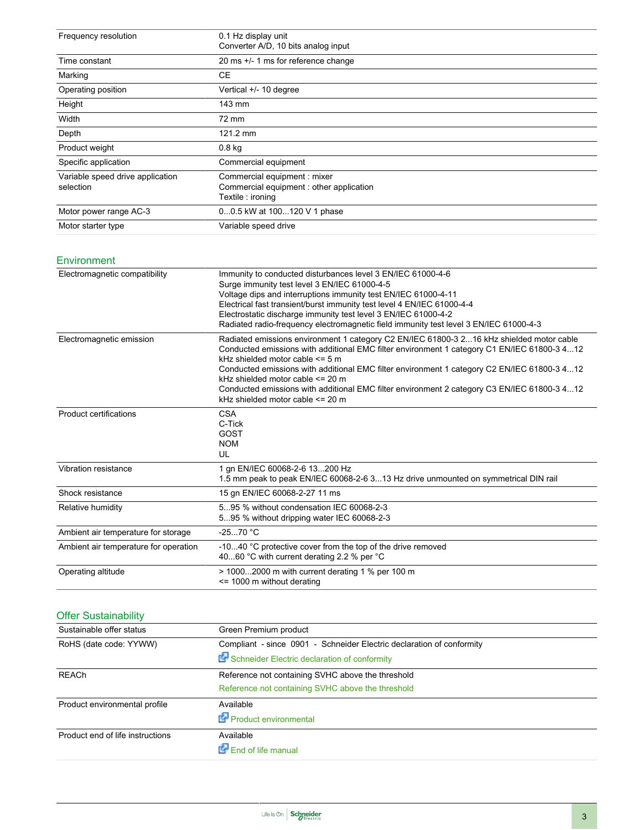| Frequency resolution                          | 0.1 Hz display unit<br>Converter A/D, 10 bits analog input                                   |
|-----------------------------------------------|----------------------------------------------------------------------------------------------|
| Time constant                                 | 20 ms +/- 1 ms for reference change                                                          |
| Marking                                       | CE                                                                                           |
| Operating position                            | Vertical +/- 10 degree                                                                       |
| Height                                        | 143 mm                                                                                       |
| Width                                         | 72 mm                                                                                        |
| Depth                                         | 121.2 mm                                                                                     |
| Product weight                                | 0.8 <sub>kq</sub>                                                                            |
| Specific application                          | Commercial equipment                                                                         |
| Variable speed drive application<br>selection | Commercial equipment : mixer<br>Commercial equipment: other application<br>Textile : ironing |
| Motor power range AC-3                        | 00.5 kW at 100120 V 1 phase                                                                  |
| Motor starter type                            | Variable speed drive                                                                         |

#### Environment

| Electromagnetic compatibility         | Immunity to conducted disturbances level 3 EN/IEC 61000-4-6<br>Surge immunity test level 3 EN/IEC 61000-4-5<br>Voltage dips and interruptions immunity test EN/IEC 61000-4-11<br>Electrical fast transient/burst immunity test level 4 EN/IEC 61000-4-4<br>Electrostatic discharge immunity test level 3 EN/IEC 61000-4-2<br>Radiated radio-frequency electromagnetic field immunity test level 3 EN/IEC 61000-4-3                                                                                       |
|---------------------------------------|----------------------------------------------------------------------------------------------------------------------------------------------------------------------------------------------------------------------------------------------------------------------------------------------------------------------------------------------------------------------------------------------------------------------------------------------------------------------------------------------------------|
| Electromagnetic emission              | Radiated emissions environment 1 category C2 EN/IEC 61800-3 216 kHz shielded motor cable<br>Conducted emissions with additional EMC filter environment 1 category C1 EN/IEC 61800-3 412<br>kHz shielded motor cable $\leq 5$ m<br>Conducted emissions with additional EMC filter environment 1 category C2 EN/IEC 61800-3 412<br>kHz shielded motor cable <= 20 m<br>Conducted emissions with additional EMC filter environment 2 category C3 EN/IEC 61800-3 412<br>kHz shielded motor cable $\leq$ 20 m |
| Product certifications                | <b>CSA</b><br>C-Tick<br>GOST<br><b>NOM</b><br>UL                                                                                                                                                                                                                                                                                                                                                                                                                                                         |
| Vibration resistance                  | 1 an EN/IEC 60068-2-6 13200 Hz<br>1.5 mm peak to peak EN/IEC 60068-2-6 313 Hz drive unmounted on symmetrical DIN rail                                                                                                                                                                                                                                                                                                                                                                                    |
| Shock resistance                      | 15 gn EN/IEC 60068-2-27 11 ms                                                                                                                                                                                                                                                                                                                                                                                                                                                                            |
| Relative humidity                     | 595 % without condensation IEC 60068-2-3<br>595 % without dripping water IEC 60068-2-3                                                                                                                                                                                                                                                                                                                                                                                                                   |
| Ambient air temperature for storage   | $-2570 °C$                                                                                                                                                                                                                                                                                                                                                                                                                                                                                               |
| Ambient air temperature for operation | -1040 °C protective cover from the top of the drive removed<br>4060 °C with current derating 2.2 % per °C                                                                                                                                                                                                                                                                                                                                                                                                |
| Operating altitude                    | $>$ 10002000 m with current derating 1 % per 100 m<br>$\le$ 1000 m without derating                                                                                                                                                                                                                                                                                                                                                                                                                      |

## Offer Sustainability

| Sustainable offer status         | Green Premium product                                                 |
|----------------------------------|-----------------------------------------------------------------------|
| RoHS (date code: YYWW)           | Compliant - since 0901 - Schneider Electric declaration of conformity |
|                                  | Schneider Electric declaration of conformity                          |
| <b>REACh</b>                     | Reference not containing SVHC above the threshold                     |
|                                  | Reference not containing SVHC above the threshold                     |
| Product environmental profile    | Available                                                             |
|                                  | Product environmental                                                 |
| Product end of life instructions | Available                                                             |
|                                  | End of life manual                                                    |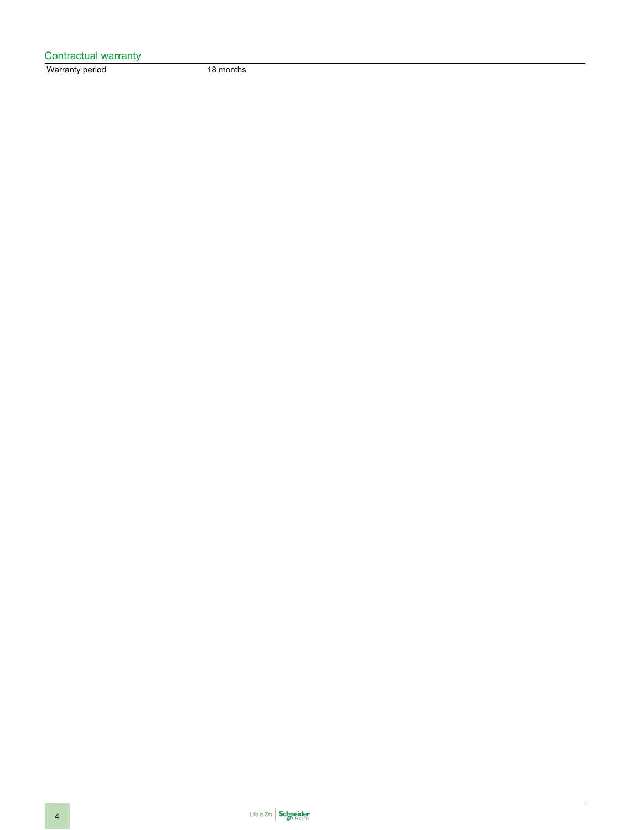| Contractual warranty |           |
|----------------------|-----------|
| Warranty period      | 18 months |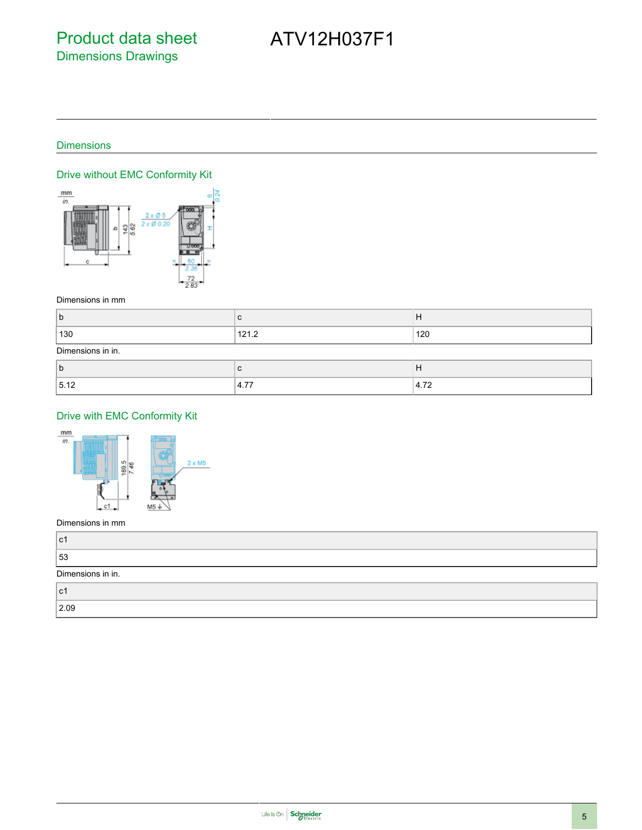#### **Dimensions**

## Drive without EMC Conformity Kit



#### Dimensions in mm

| h<br>ิม |                                | $\blacksquare$<br>_<br>. . |
|---------|--------------------------------|----------------------------|
| 130     | $\sim$ $\cdot$<br>74<br>14 I.A | 120                        |

#### Dimensions in in.

| ∼     |                                 |                                      |
|-------|---------------------------------|--------------------------------------|
| 15.12 | $- -$<br>$\mathbf{u}$<br>7. I I | $\overline{\phantom{a}}$<br>$\cdots$ |

### Drive with EMC Conformity Kit



#### Dimensions in mm

| ∣c1               |  |
|-------------------|--|
| 53                |  |
| Dimensions in in. |  |
| l c1              |  |
| 2.09              |  |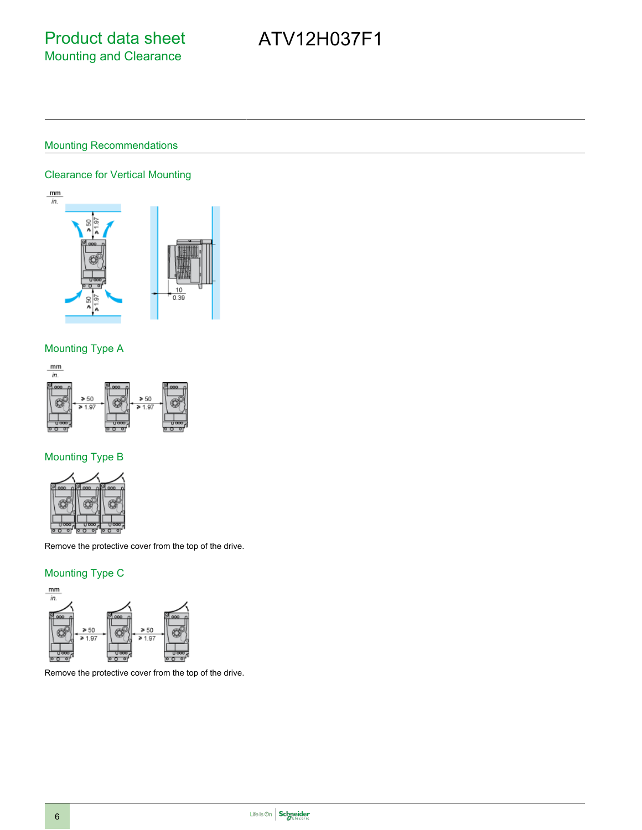### Mounting Recommendations

#### Clearance for Vertical Mounting



#### Mounting Type A



## Mounting Type B



Remove the protective cover from the top of the drive.

#### Mounting Type C



Remove the protective cover from the top of the drive.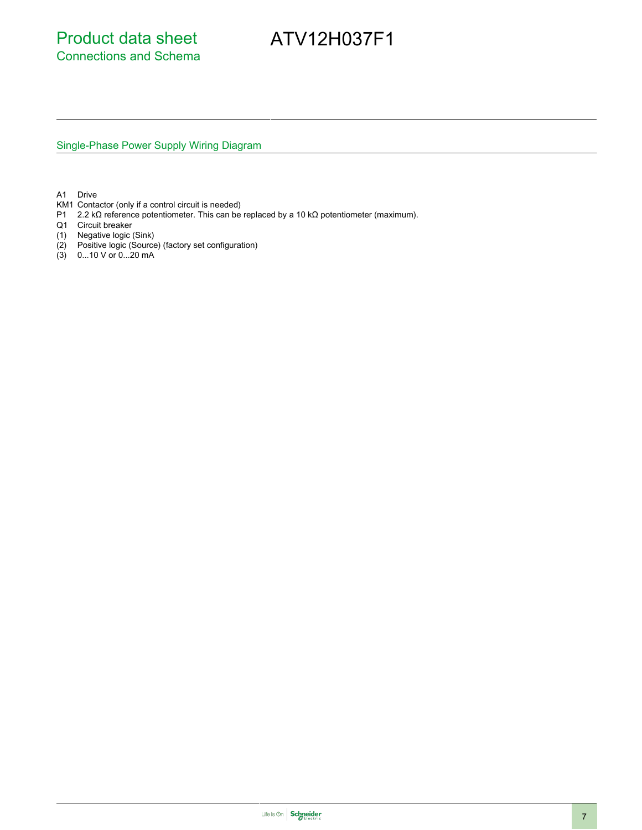Single-Phase Power Supply Wiring Diagram

A1 Drive

- KM1 Contactor (only if a control circuit is needed)
- P1 2.2 kΩ reference potentiometer. This can be replaced by a 10 kΩ potentiometer (maximum).
- Q1 Circuit breaker
- (1) Negative logic (Sink)
- (2) Positive logic (Source) (factory set configuration)
- (3) 0...10 V or 0...20 mA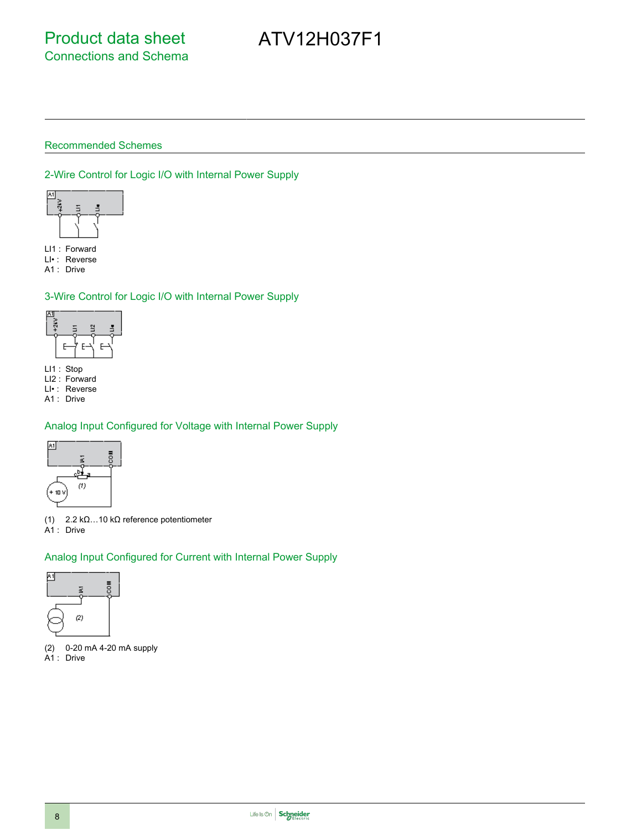#### Recommended Schemes

#### 2-Wire Control for Logic I/O with Internal Power Supply



LI1 : Forward

LI• : Reverse A1 : Drive

### 3-Wire Control for Logic I/O with Internal Power Supply



LI1 : Stop

LI2 : Forward

LI• : Reverse A1 : Drive

## Analog Input Configured for Voltage with Internal Power Supply



(1) 2.2 kΩ…10 kΩ reference potentiometer A1 : Drive

### Analog Input Configured for Current with Internal Power Supply



(2) 0-20 mA 4-20 mA supply A1 : Drive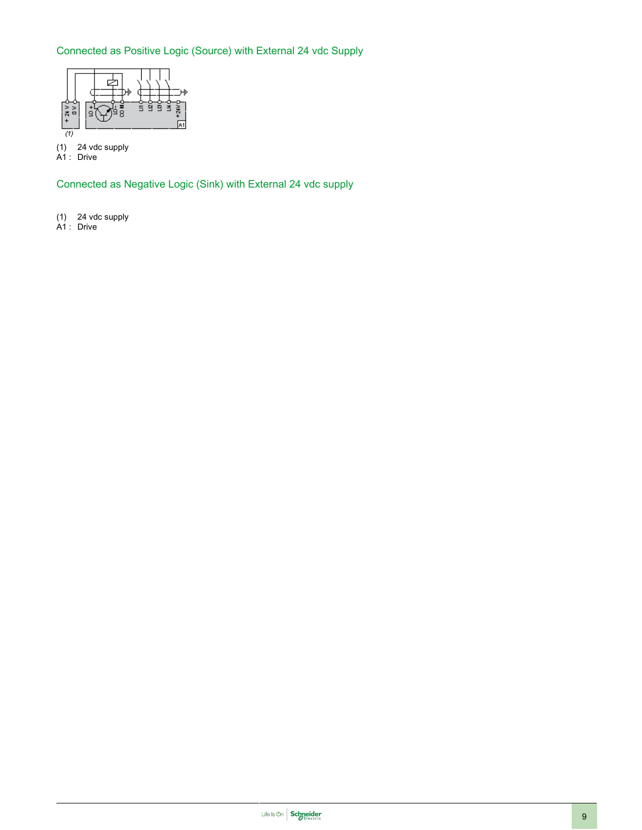## Connected as Positive Logic (Source) with External 24 vdc Supply



(1) 24 vdc supply

A1 : Drive

Connected as Negative Logic (Sink) with External 24 vdc supply

- (1) 24 vdc supply
- A1 : Drive